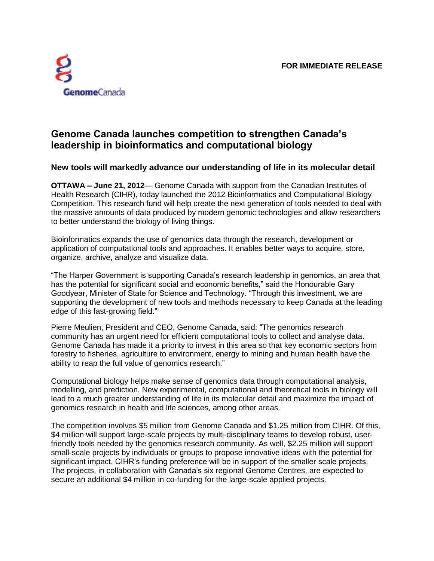

## **Genome Canada launches competition to strengthen Canada's leadership in bioinformatics and computational biology**

## **New tools will markedly advance our understanding of life in its molecular detail**

**OTTAWA – June 21, 2012**— Genome Canada with support from the Canadian Institutes of Health Research (CIHR), today launched the 2012 Bioinformatics and Computational Biology Competition. This research fund will help create the next generation of tools needed to deal with the massive amounts of data produced by modern genomic technologies and allow researchers to better understand the biology of living things.

Bioinformatics expands the use of genomics data through the research, development or application of computational tools and approaches. It enables better ways to acquire, store, organize, archive, analyze and visualize data.

"The Harper Government is supporting Canada's research leadership in genomics, an area that has the potential for significant social and economic benefits," said the Honourable Gary Goodyear, Minister of State for Science and Technology. "Through this investment, we are supporting the development of new tools and methods necessary to keep Canada at the leading edge of this fast-growing field."

Pierre Meulien, President and CEO, Genome Canada, said: "The genomics research community has an urgent need for efficient computational tools to collect and analyse data. Genome Canada has made it a priority to invest in this area so that key economic sectors from forestry to fisheries, agriculture to environment, energy to mining and human health have the ability to reap the full value of genomics research."

Computational biology helps make sense of genomics data through computational analysis, modelling, and prediction. New experimental, computational and theoretical tools in biology will lead to a much greater understanding of life in its molecular detail and maximize the impact of genomics research in health and life sciences, among other areas.

The competition involves \$5 million from Genome Canada and \$1.25 million from CIHR. Of this, \$4 million will support large-scale projects by multi-disciplinary teams to develop robust, userfriendly tools needed by the genomics research community. As well, \$2.25 million will support small-scale projects by individuals or groups to propose innovative ideas with the potential for significant impact. CIHR's funding preference will be in support of the smaller scale projects. The projects, in collaboration with Canada's six regional Genome Centres, are expected to secure an additional \$4 million in co-funding for the large-scale applied projects.